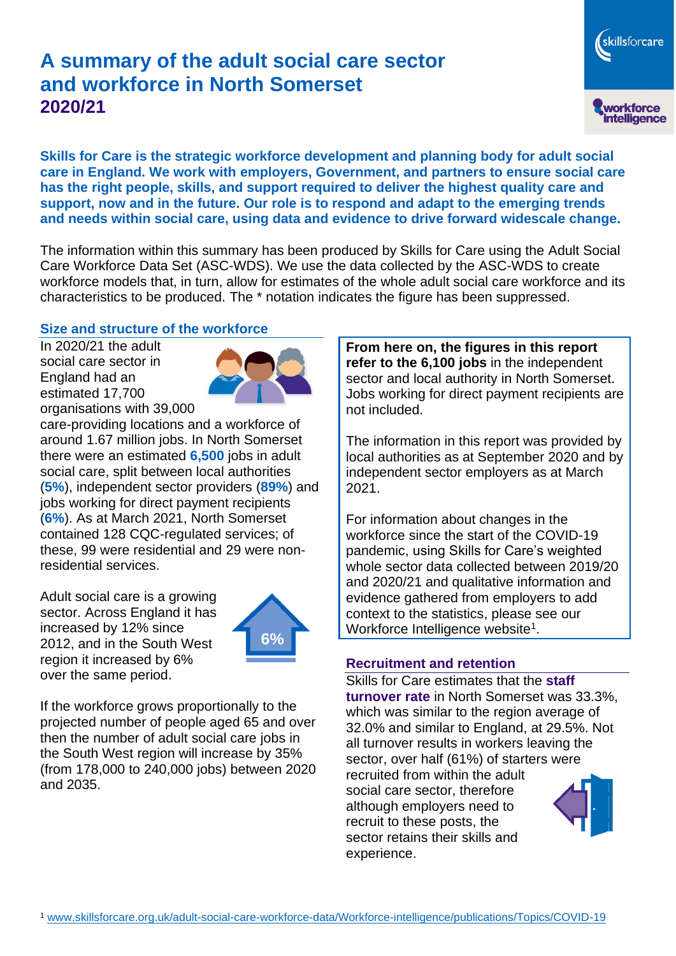# **A summary of the adult social care sector and workforce in North Somerset 2020/21**

skillsforcare workforce<br>intelligence

**Skills for Care is the strategic workforce development and planning body for adult social care in England. We work with employers, Government, and partners to ensure social care has the right people, skills, and support required to deliver the highest quality care and support, now and in the future. Our role is to respond and adapt to the emerging trends and needs within social care, using data and evidence to drive forward widescale change.**

The information within this summary has been produced by Skills for Care using the Adult Social Care Workforce Data Set (ASC-WDS). We use the data collected by the ASC-WDS to create workforce models that, in turn, allow for estimates of the whole adult social care workforce and its characteristics to be produced. The \* notation indicates the figure has been suppressed.

### **Size and structure of the workforce**

In 2020/21 the adult social care sector in England had an estimated 17,700 organisations with 39,000



care-providing locations and a workforce of around 1.67 million jobs. In North Somerset there were an estimated **6,500** jobs in adult social care, split between local authorities (**5%**), independent sector providers (**89%**) and jobs working for direct payment recipients (**6%**). As at March 2021, North Somerset contained 128 CQC-regulated services; of these, 99 were residential and 29 were nonresidential services.

Adult social care is a growing sector. Across England it has increased by 12% since 2012, and in the South West region it increased by 6% over the same period.



If the workforce grows proportionally to the projected number of people aged 65 and over then the number of adult social care jobs in the South West region will increase by 35% (from 178,000 to 240,000 jobs) between 2020 and 2035.

**From here on, the figures in this report refer to the 6,100 jobs** in the independent sector and local authority in North Somerset. Jobs working for direct payment recipients are not included.

The information in this report was provided by local authorities as at September 2020 and by independent sector employers as at March 2021.

For information about changes in the workforce since the start of the COVID-19 pandemic, using Skills for Care's weighted whole sector data collected between 2019/20 and 2020/21 and qualitative information and evidence gathered from employers to add context to the statistics, please see our Workforce Intelligence website<sup>1</sup>.

#### **Recruitment and retention**

Skills for Care estimates that the **staff turnover rate** in North Somerset was 33.3%, which was similar to the region average of 32.0% and similar to England, at 29.5%. Not all turnover results in workers leaving the sector, over half (61%) of starters were recruited from within the adult social care sector, therefore although employers need to recruit to these posts, the sector retains their skills and experience.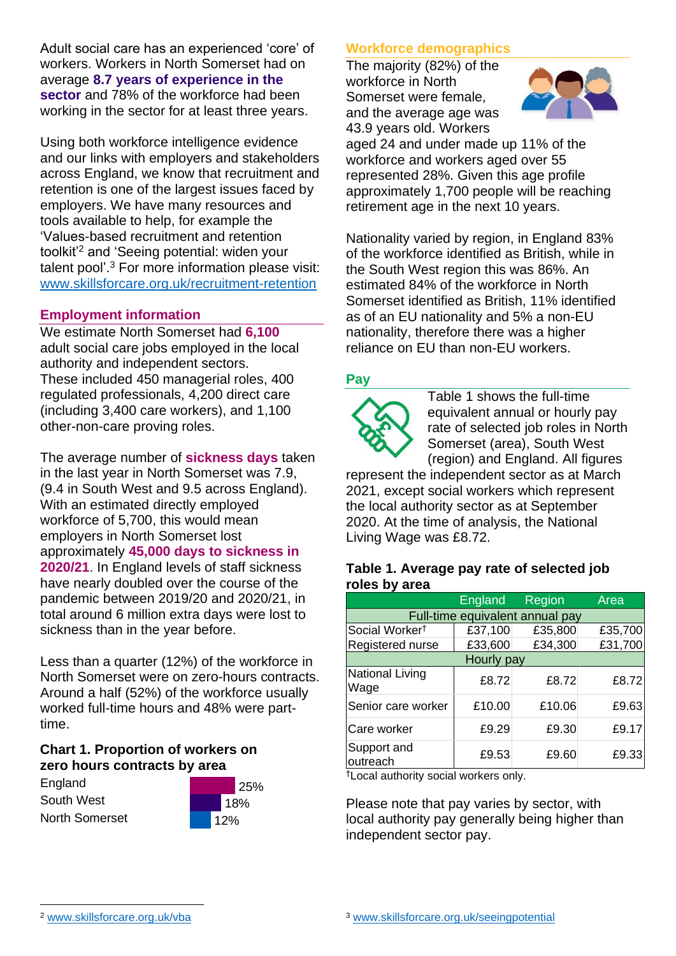Adult social care has an experienced 'core' of workers. Workers in North Somerset had on average **8.7 years of experience in the sector** and 78% of the workforce had been working in the sector for at least three years.

Using both workforce intelligence evidence and our links with employers and stakeholders across England, we know that recruitment and retention is one of the largest issues faced by employers. We have many resources and tools available to help, for example the 'Values-based recruitment and retention toolkit'<sup>2</sup> and 'Seeing potential: widen your talent pool'. <sup>3</sup> For more information please visit: [www.skillsforcare.org.uk/recruitment-retention](http://www.skillsforcare.org.uk/recruitment-retention)

## **Employment information**

We estimate North Somerset had **6,100** adult social care jobs employed in the local authority and independent sectors. These included 450 managerial roles, 400 regulated professionals, 4,200 direct care (including 3,400 care workers), and 1,100 other-non-care proving roles.

The average number of **sickness days** taken in the last year in North Somerset was 7.9, (9.4 in South West and 9.5 across England). With an estimated directly employed workforce of 5,700, this would mean employers in North Somerset lost approximately **45,000 days to sickness in 2020/21**. In England levels of staff sickness have nearly doubled over the course of the pandemic between 2019/20 and 2020/21, in total around 6 million extra days were lost to sickness than in the year before.

Less than a quarter (12%) of the workforce in North Somerset were on zero-hours contracts. Around a half (52%) of the workforce usually worked full-time hours and 48% were parttime.

### **Chart 1. Proportion of workers on zero hours contracts by area**

England South West North Somerset



# **Workforce demographics**

The majority (82%) of the workforce in North Somerset were female, and the average age was 43.9 years old. Workers



aged 24 and under made up 11% of the workforce and workers aged over 55 represented 28%. Given this age profile approximately 1,700 people will be reaching retirement age in the next 10 years.

Nationality varied by region, in England 83% of the workforce identified as British, while in the South West region this was 86%. An estimated 84% of the workforce in North Somerset identified as British, 11% identified as of an EU nationality and 5% a non-EU nationality, therefore there was a higher reliance on EU than non-EU workers.

### **Pay**



Table 1 shows the full-time equivalent annual or hourly pay rate of selected job roles in North Somerset (area), South West (region) and England. All figures

represent the independent sector as at March 2021, except social workers which represent the local authority sector as at September 2020. At the time of analysis, the National Living Wage was £8.72.

#### **Table 1. Average pay rate of selected job roles by area**

|                                 | <b>England</b> | Region  | Area    |
|---------------------------------|----------------|---------|---------|
| Full-time equivalent annual pay |                |         |         |
| Social Worker <sup>t</sup>      | £37,100        | £35,800 | £35,700 |
| Registered nurse                | £33,600        | £34,300 | £31,700 |
| Hourly pay                      |                |         |         |
| National Living<br>Wage         | £8.72          | £8.72   | £8.72   |
| Senior care worker              | £10.00         | £10.06  | £9.63   |
| Care worker                     | £9.29          | £9.30   | £9.17   |
| Support and<br>outreach         | £9.53          | £9.60   | £9.33   |

†Local authority social workers only.

Please note that pay varies by sector, with local authority pay generally being higher than independent sector pay.

[www.skillsforcare.org.uk/vba](http://www.skillsforcare.org.uk/vba)